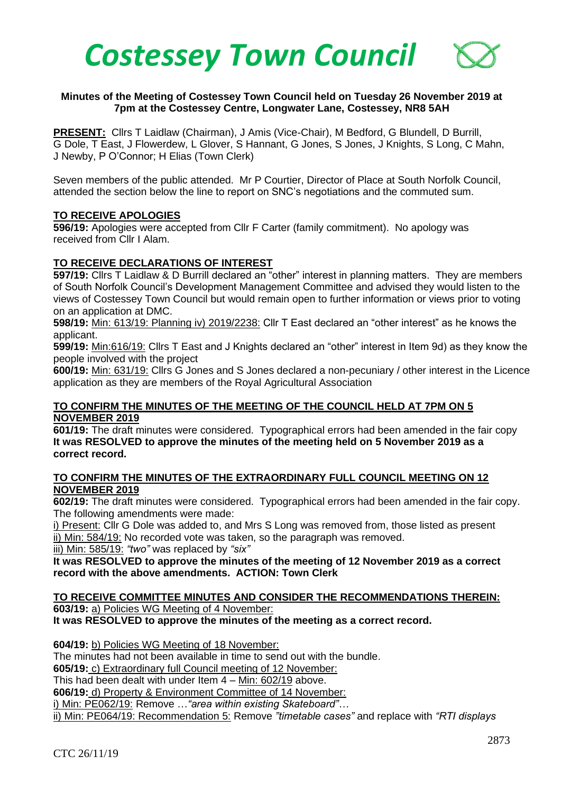

### **Minutes of the Meeting of Costessey Town Council held on Tuesday 26 November 2019 at 7pm at the Costessey Centre, Longwater Lane, Costessey, NR8 5AH**

**PRESENT:** Cllrs T Laidlaw (Chairman), J Amis (Vice-Chair), M Bedford, G Blundell, D Burrill, G Dole, T East, J Flowerdew, L Glover, S Hannant, G Jones, S Jones, J Knights, S Long, C Mahn, J Newby, P O'Connor; H Elias (Town Clerk)

Seven members of the public attended. Mr P Courtier, Director of Place at South Norfolk Council, attended the section below the line to report on SNC's negotiations and the commuted sum.

#### **TO RECEIVE APOLOGIES**

**596/19:** Apologies were accepted from Cllr F Carter (family commitment). No apology was received from Cllr I Alam.

#### **TO RECEIVE DECLARATIONS OF INTEREST**

**597/19:** Cllrs T Laidlaw & D Burrill declared an "other" interest in planning matters. They are members of South Norfolk Council's Development Management Committee and advised they would listen to the views of Costessey Town Council but would remain open to further information or views prior to voting on an application at DMC.

**598/19:** Min: 613/19: Planning iv) 2019/2238: Cllr T East declared an "other interest" as he knows the applicant.

**599/19:** Min:616/19: Cllrs T East and J Knights declared an "other" interest in Item 9d) as they know the people involved with the project

**600/19:** Min: 631/19: Cllrs G Jones and S Jones declared a non-pecuniary / other interest in the Licence application as they are members of the Royal Agricultural Association

#### **TO CONFIRM THE MINUTES OF THE MEETING OF THE COUNCIL HELD AT 7PM ON 5 NOVEMBER 2019**

**601/19:** The draft minutes were considered. Typographical errors had been amended in the fair copy **It was RESOLVED to approve the minutes of the meeting held on 5 November 2019 as a correct record.** 

#### **TO CONFIRM THE MINUTES OF THE EXTRAORDINARY FULL COUNCIL MEETING ON 12 NOVEMBER 2019**

**602/19:** The draft minutes were considered.Typographical errors had been amended in the fair copy. The following amendments were made:

i) Present: Cllr G Dole was added to, and Mrs S Long was removed from, those listed as present ii) Min: 584/19: No recorded vote was taken, so the paragraph was removed.

iii) Min: 585/19: *"two"* was replaced by *"six"*

#### **It was RESOLVED to approve the minutes of the meeting of 12 November 2019 as a correct record with the above amendments. ACTION: Town Clerk**

# **TO RECEIVE COMMITTEE MINUTES AND CONSIDER THE RECOMMENDATIONS THEREIN: 603/19:** a) Policies WG Meeting of 4 November:

**It was RESOLVED to approve the minutes of the meeting as a correct record.** 

**604/19:** b) Policies WG Meeting of 18 November:

The minutes had not been available in time to send out with the bundle.

**605/19:** c) Extraordinary full Council meeting of 12 November:

This had been dealt with under Item 4 – Min: 602/19 above.

**606/19:** d) Property & Environment Committee of 14 November:

i) Min: PE062/19: Remove …*"area within existing Skateboard"…*

ii) Min: PE064/19: Recommendation 5: Remove *"timetable cases"* and replace with *"RTI displays*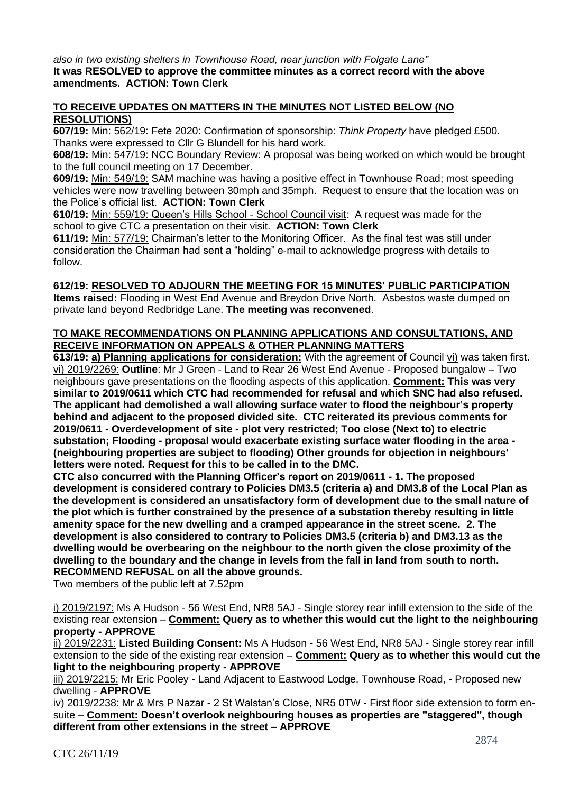*also in two existing shelters in Townhouse Road, near junction with Folgate Lane"* **It was RESOLVED to approve the committee minutes as a correct record with the above amendments. ACTION: Town Clerk**

### **TO RECEIVE UPDATES ON MATTERS IN THE MINUTES NOT LISTED BELOW (NO RESOLUTIONS)**

**607/19:** Min: 562/19: Fete 2020: Confirmation of sponsorship: *Think Property* have pledged £500. Thanks were expressed to Cllr G Blundell for his hard work.

**608/19:** Min: 547/19: NCC Boundary Review: A proposal was being worked on which would be brought to the full council meeting on 17 December.

**609/19:** Min: 549/19: SAM machine was having a positive effect in Townhouse Road; most speeding vehicles were now travelling between 30mph and 35mph. Request to ensure that the location was on the Police's official list. **ACTION: Town Clerk**

**610/19:** Min: 559/19: Queen's Hills School - School Council visit: A request was made for the school to give CTC a presentation on their visit. **ACTION: Town Clerk**

**611/19:** Min: 577/19: Chairman's letter to the Monitoring Officer. As the final test was still under consideration the Chairman had sent a "holding" e-mail to acknowledge progress with details to follow.

# **612/19: RESOLVED TO ADJOURN THE MEETING FOR 15 MINUTES' PUBLIC PARTICIPATION**

**Items raised:** Flooding in West End Avenue and Breydon Drive North. Asbestos waste dumped on private land beyond Redbridge Lane. **The meeting was reconvened**.

### **TO MAKE RECOMMENDATIONS ON PLANNING APPLICATIONS AND CONSULTATIONS, AND RECEIVE INFORMATION ON APPEALS & OTHER PLANNING MATTERS**

**613/19: a) Planning applications for consideration:** With the agreement of Council vi) was taken first. vi) 2019/2269: **Outline**: Mr J Green - Land to Rear 26 West End Avenue - Proposed bungalow – Two neighbours gave presentations on the flooding aspects of this application. **Comment: This was very similar to 2019/0611 which CTC had recommended for refusal and which SNC had also refused. The applicant had demolished a wall allowing surface water to flood the neighbour's property behind and adjacent to the proposed divided site. CTC reiterated its previous comments for 2019/0611 - Overdevelopment of site - plot very restricted; Too close (Next to) to electric substation; Flooding - proposal would exacerbate existing surface water flooding in the area - (neighbouring properties are subject to flooding) Other grounds for objection in neighbours' letters were noted. Request for this to be called in to the DMC.**

**CTC also concurred with the Planning Officer's report on 2019/0611 - 1. The proposed development is considered contrary to Policies DM3.5 (criteria a) and DM3.8 of the Local Plan as the development is considered an unsatisfactory form of development due to the small nature of the plot which is further constrained by the presence of a substation thereby resulting in little amenity space for the new dwelling and a cramped appearance in the street scene. 2. The development is also considered to contrary to Policies DM3.5 (criteria b) and DM3.13 as the dwelling would be overbearing on the neighbour to the north given the close proximity of the dwelling to the boundary and the change in levels from the fall in land from south to north. RECOMMEND REFUSAL on all the above grounds.**

Two members of the public left at 7.52pm

i) 2019/2197: Ms A Hudson - 56 West End, NR8 5AJ - Single storey rear infill extension to the side of the existing rear extension – **Comment: Query as to whether this would cut the light to the neighbouring property - APPROVE**

ii) 2019/2231: **Listed Building Consent:** Ms A Hudson - 56 West End, NR8 5AJ - Single storey rear infill extension to the side of the existing rear extension – **Comment: Query as to whether this would cut the light to the neighbouring property - APPROVE**

iii) 2019/2215: Mr Eric Pooley - Land Adjacent to Eastwood Lodge, Townhouse Road, - Proposed new dwelling - **APPROVE**

iv) 2019/2238: Mr & Mrs P Nazar - 2 St Walstan's Close, NR5 0TW - First floor side extension to form ensuite – **Comment: Doesn't overlook neighbouring houses as properties are "staggered", though different from other extensions in the street – APPROVE**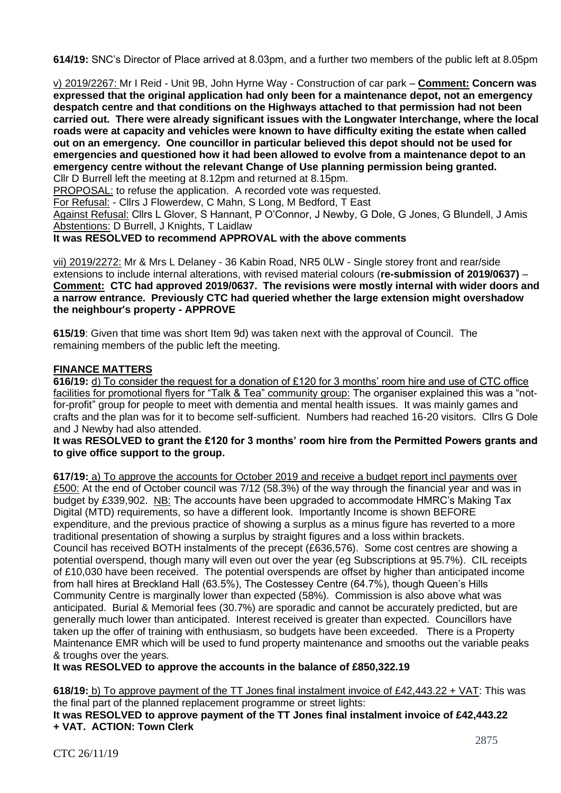**614/19:** SNC's Director of Place arrived at 8.03pm, and a further two members of the public left at 8.05pm

v) 2019/2267: Mr I Reid - Unit 9B, John Hyrne Way - Construction of car park – **Comment: Concern was expressed that the original application had only been for a maintenance depot, not an emergency despatch centre and that conditions on the Highways attached to that permission had not been carried out. There were already significant issues with the Longwater Interchange, where the local roads were at capacity and vehicles were known to have difficulty exiting the estate when called out on an emergency. One councillor in particular believed this depot should not be used for emergencies and questioned how it had been allowed to evolve from a maintenance depot to an emergency centre without the relevant Change of Use planning permission being granted.**

Cllr D Burrell left the meeting at 8.12pm and returned at 8.15pm.

PROPOSAL: to refuse the application. A recorded vote was requested.

For Refusal: - Cllrs J Flowerdew, C Mahn, S Long, M Bedford, T East

Against Refusal: Cllrs L Glover, S Hannant, P O'Connor, J Newby, G Dole, G Jones, G Blundell, J Amis Abstentions: D Burrell, J Knights, T Laidlaw

**It was RESOLVED to recommend APPROVAL with the above comments**

vii) 2019/2272: Mr & Mrs L Delaney - 36 Kabin Road, NR5 0LW - Single storey front and rear/side extensions to include internal alterations, with revised material colours (**re-submission of 2019/0637)** – **Comment: CTC had approved 2019/0637. The revisions were mostly internal with wider doors and a narrow entrance. Previously CTC had queried whether the large extension might overshadow the neighbour's property - APPROVE**

**615/19**: Given that time was short Item 9d) was taken next with the approval of Council. The remaining members of the public left the meeting.

### **FINANCE MATTERS**

**616/19:** d) To consider the request for a donation of £120 for 3 months' room hire and use of CTC office facilities for promotional flyers for "Talk & Tea" community group: The organiser explained this was a "notfor-profit" group for people to meet with dementia and mental health issues. It was mainly games and crafts and the plan was for it to become self-sufficient. Numbers had reached 16-20 visitors. Cllrs G Dole and J Newby had also attended.

### **It was RESOLVED to grant the £120 for 3 months' room hire from the Permitted Powers grants and to give office support to the group.**

**617/19:** a) To approve the accounts for October 2019 and receive a budget report incl payments over £500: At the end of October council was 7/12 (58.3%) of the way through the financial year and was in budget by £339,902. NB: The accounts have been upgraded to accommodate HMRC's Making Tax Digital (MTD) requirements, so have a different look. Importantly Income is shown BEFORE expenditure, and the previous practice of showing a surplus as a minus figure has reverted to a more traditional presentation of showing a surplus by straight figures and a loss within brackets. Council has received BOTH instalments of the precept (£636,576). Some cost centres are showing a potential overspend, though many will even out over the year (eg Subscriptions at 95.7%). CIL receipts of £10,030 have been received. The potential overspends are offset by higher than anticipated income from hall hires at Breckland Hall (63.5%), The Costessey Centre (64.7%), though Queen's Hills Community Centre is marginally lower than expected (58%). Commission is also above what was anticipated. Burial & Memorial fees (30.7%) are sporadic and cannot be accurately predicted, but are generally much lower than anticipated. Interest received is greater than expected. Councillors have taken up the offer of training with enthusiasm, so budgets have been exceeded. There is a Property Maintenance EMR which will be used to fund property maintenance and smooths out the variable peaks & troughs over the years.

**It was RESOLVED to approve the accounts in the balance of £850,322.19**

**618/19:** b) To approve payment of the TT Jones final instalment invoice of £42,443.22 + VAT: This was the final part of the planned replacement programme or street lights:

**It was RESOLVED to approve payment of the TT Jones final instalment invoice of £42,443.22 + VAT. ACTION: Town Clerk**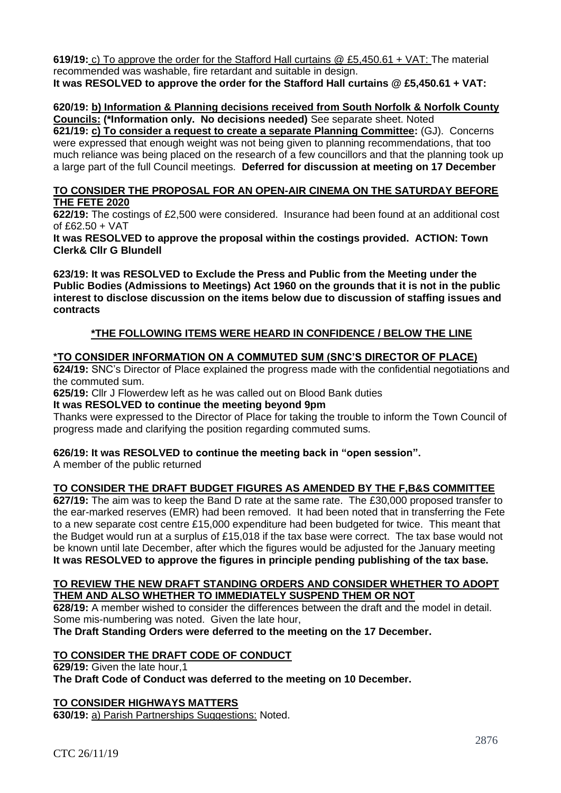**619/19:** c) To approve the order for the Stafford Hall curtains @ £5,450.61 + VAT: The material recommended was washable, fire retardant and suitable in design. **It was RESOLVED to approve the order for the Stafford Hall curtains @ £5,450.61 + VAT:**

# **620/19: b) Information & Planning decisions received from South Norfolk & Norfolk County Councils: (\*Information only. No decisions needed)** See separate sheet. Noted

**621/19: c) To consider a request to create a separate Planning Committee:** (GJ).Concerns were expressed that enough weight was not being given to planning recommendations, that too much reliance was being placed on the research of a few councillors and that the planning took up a large part of the full Council meetings. **Deferred for discussion at meeting on 17 December**

## **TO CONSIDER THE PROPOSAL FOR AN OPEN-AIR CINEMA ON THE SATURDAY BEFORE THE FETE 2020**

**622/19:** The costings of £2,500 were considered. Insurance had been found at an additional cost of £62.50 + VAT

**It was RESOLVED to approve the proposal within the costings provided. ACTION: Town Clerk& Cllr G Blundell**

**623/19: It was RESOLVED to Exclude the Press and Public from the Meeting under the Public Bodies (Admissions to Meetings) Act 1960 on the grounds that it is not in the public interest to disclose discussion on the items below due to discussion of staffing issues and contracts**

# **\*THE FOLLOWING ITEMS WERE HEARD IN CONFIDENCE / BELOW THE LINE**

# **\*TO CONSIDER INFORMATION ON A COMMUTED SUM (SNC'S DIRECTOR OF PLACE)**

**624/19:** SNC's Director of Place explained the progress made with the confidential negotiations and the commuted sum.

**625/19:** Cllr J Flowerdew left as he was called out on Blood Bank duties

### **It was RESOLVED to continue the meeting beyond 9pm**

Thanks were expressed to the Director of Place for taking the trouble to inform the Town Council of progress made and clarifying the position regarding commuted sums.

### **626/19: It was RESOLVED to continue the meeting back in "open session".**

A member of the public returned

### **TO CONSIDER THE DRAFT BUDGET FIGURES AS AMENDED BY THE F,B&S COMMITTEE**

**627/19:** The aim was to keep the Band D rate at the same rate. The £30,000 proposed transfer to the ear-marked reserves (EMR) had been removed. It had been noted that in transferring the Fete to a new separate cost centre £15,000 expenditure had been budgeted for twice. This meant that the Budget would run at a surplus of £15,018 if the tax base were correct. The tax base would not be known until late December, after which the figures would be adjusted for the January meeting **It was RESOLVED to approve the figures in principle pending publishing of the tax base.**

#### **TO REVIEW THE NEW DRAFT STANDING ORDERS AND CONSIDER WHETHER TO ADOPT THEM AND ALSO WHETHER TO IMMEDIATELY SUSPEND THEM OR NOT**

**628/19:** A member wished to consider the differences between the draft and the model in detail. Some mis-numbering was noted. Given the late hour,

**The Draft Standing Orders were deferred to the meeting on the 17 December.**

### **TO CONSIDER THE DRAFT CODE OF CONDUCT**

**629/19:** Given the late hour,1

**The Draft Code of Conduct was deferred to the meeting on 10 December.**

### **TO CONSIDER HIGHWAYS MATTERS**

**630/19:** a) Parish Partnerships Suggestions: Noted.